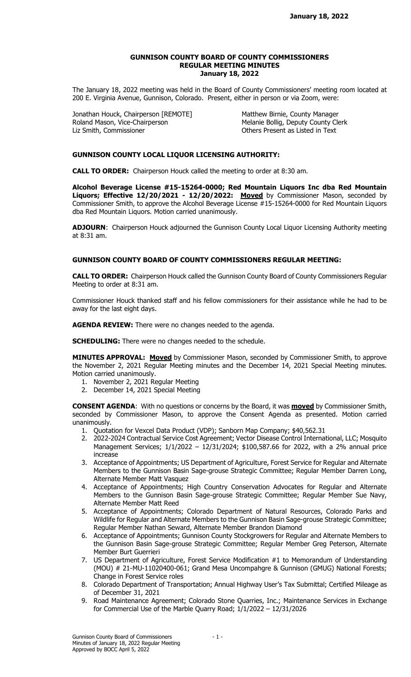#### GUNNISON COUNTY BOARD OF COUNTY COMMISSIONERS REGULAR MEETING MINUTES January 18, 2022

The January 18, 2022 meeting was held in the Board of County Commissioners' meeting room located at 200 E. Virginia Avenue, Gunnison, Colorado. Present, either in person or via Zoom, were:

Jonathan Houck, Chairperson [REMOTE] Matthew Birnie, County Manager Roland Mason, Vice-Chairperson Melanie Bollig, Deputy County Clerk Liz Smith, Commissioner **Commissioner** Christener Active Commissioner Active Present as Listed in Text

## GUNNISON COUNTY LOCAL LIQUOR LICENSING AUTHORITY:

CALL TO ORDER: Chairperson Houck called the meeting to order at 8:30 am.

Alcohol Beverage License #15-15264-0000; Red Mountain Liquors Inc dba Red Mountain Liquors; Effective 12/20/2021 - 12/20/2022: Moved by Commissioner Mason, seconded by Commissioner Smith, to approve the Alcohol Beverage License #15-15264-0000 for Red Mountain Liquors dba Red Mountain Liquors. Motion carried unanimously.

ADJOURN: Chairperson Houck adjourned the Gunnison County Local Liquor Licensing Authority meeting at 8:31 am.

# GUNNISON COUNTY BOARD OF COUNTY COMMISSIONERS REGULAR MEETING:

CALL TO ORDER: Chairperson Houck called the Gunnison County Board of County Commissioners Regular Meeting to order at 8:31 am.

Commissioner Houck thanked staff and his fellow commissioners for their assistance while he had to be away for the last eight days.

AGENDA REVIEW: There were no changes needed to the agenda.

**SCHEDULING:** There were no changes needed to the schedule.

MINUTES APPROVAL: Moved by Commissioner Mason, seconded by Commissioner Smith, to approve the November 2, 2021 Regular Meeting minutes and the December 14, 2021 Special Meeting minutes. Motion carried unanimously.

- 1. November 2, 2021 Regular Meeting
- 2. December 14, 2021 Special Meeting

**CONSENT AGENDA:** With no questions or concerns by the Board, it was **moved** by Commissioner Smith, seconded by Commissioner Mason, to approve the Consent Agenda as presented. Motion carried unanimously.

- 1. Quotation for Vexcel Data Product (VDP); Sanborn Map Company; \$40,562.31
- 2. 2022-2024 Contractual Service Cost Agreement; Vector Disease Control International, LLC; Mosquito Management Services; 1/1/2022 – 12/31/2024; \$100,587.66 for 2022, with a 2% annual price increase
- 3. Acceptance of Appointments; US Department of Agriculture, Forest Service for Regular and Alternate Members to the Gunnison Basin Sage-grouse Strategic Committee; Regular Member Darren Long, Alternate Member Matt Vasquez
- 4. Acceptance of Appointments; High Country Conservation Advocates for Regular and Alternate Members to the Gunnison Basin Sage-grouse Strategic Committee; Regular Member Sue Navy, Alternate Member Matt Reed
- 5. Acceptance of Appointments; Colorado Department of Natural Resources, Colorado Parks and Wildlife for Regular and Alternate Members to the Gunnison Basin Sage-grouse Strategic Committee; Regular Member Nathan Seward, Alternate Member Brandon Diamond
- 6. Acceptance of Appointments; Gunnison County Stockgrowers for Regular and Alternate Members to the Gunnison Basin Sage-grouse Strategic Committee; Regular Member Greg Peterson, Alternate Member Burt Guerrieri
- 7. US Department of Agriculture, Forest Service Modification #1 to Memorandum of Understanding (MOU) # 21-MU-11020400-061; Grand Mesa Uncompahgre & Gunnison (GMUG) National Forests; Change in Forest Service roles
- 8. Colorado Department of Transportation; Annual Highway User's Tax Submittal; Certified Mileage as of December 31, 2021
- 9. Road Maintenance Agreement; Colorado Stone Quarries, Inc.; Maintenance Services in Exchange for Commercial Use of the Marble Quarry Road; 1/1/2022 – 12/31/2026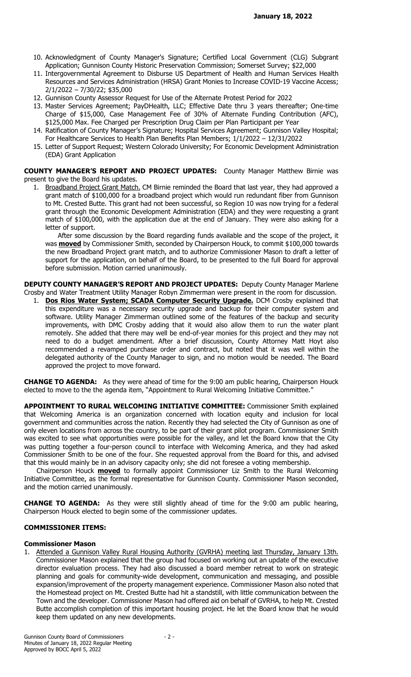- 10. Acknowledgment of County Manager's Signature; Certified Local Government (CLG) Subgrant Application; Gunnison County Historic Preservation Commission; Somerset Survey; \$22,000
- 11. Intergovernmental Agreement to Disburse US Department of Health and Human Services Health Resources and Services Administration (HRSA) Grant Monies to Increase COVID-19 Vaccine Access; 2/1/2022 – 7/30/22; \$35,000
- 12. Gunnison County Assessor Request for Use of the Alternate Protest Period for 2022
- 13. Master Services Agreement; PayDHealth, LLC; Effective Date thru 3 years thereafter; One-time Charge of \$15,000, Case Management Fee of 30% of Alternate Funding Contribution (AFC), \$125,000 Max. Fee Charged per Prescription Drug Claim per Plan Participant per Year
- 14. Ratification of County Manager's Signature; Hospital Services Agreement; Gunnison Valley Hospital; For Healthcare Services to Health Plan Benefits Plan Members; 1/1/2022 – 12/31/2022
- 15. Letter of Support Request; Western Colorado University; For Economic Development Administration (EDA) Grant Application

#### COUNTY MANAGER'S REPORT AND PROJECT UPDATES: County Manager Matthew Birnie was present to give the Board his updates.

1. Broadband Project Grant Match. CM Birnie reminded the Board that last year, they had approved a grant match of \$100,000 for a broadband project which would run redundant fiber from Gunnison to Mt. Crested Butte. This grant had not been successful, so Region 10 was now trying for a federal grant through the Economic Development Administration (EDA) and they were requesting a grant match of \$100,000, with the application due at the end of January. They were also asking for a letter of support.

 After some discussion by the Board regarding funds available and the scope of the project, it was **moved** by Commissioner Smith, seconded by Chairperson Houck, to commit \$100,000 towards the new Broadband Project grant match, and to authorize Commissioner Mason to draft a letter of support for the application, on behalf of the Board, to be presented to the full Board for approval before submission. Motion carried unanimously.

DEPUTY COUNTY MANAGER'S REPORT AND PROJECT UPDATES: Deputy County Manager Marlene Crosby and Water Treatment Utility Manager Robyn Zimmerman were present in the room for discussion.

1. Dos Rios Water System; SCADA Computer Security Upgrade. DCM Crosby explained that this expenditure was a necessary security upgrade and backup for their computer system and software. Utility Manager Zimmerman outlined some of the features of the backup and security improvements, with DMC Crosby adding that it would also allow them to run the water plant remotely. She added that there may well be end-of-year monies for this project and they may not need to do a budget amendment. After a brief discussion, County Attorney Matt Hoyt also recommended a revamped purchase order and contract, but noted that it was well within the delegated authority of the County Manager to sign, and no motion would be needed. The Board approved the project to move forward.

**CHANGE TO AGENDA:** As they were ahead of time for the 9:00 am public hearing, Chairperson Houck elected to move to the the agenda item, "Appointment to Rural Welcoming Initiative Committee."

APPOINTMENT TO RURAL WELCOMING INITIATIVE COMMITTEE: Commissioner Smith explained that Welcoming America is an organization concerned with location equity and inclusion for local government and communities across the nation. Recently they had selected the City of Gunnison as one of only eleven locations from across the country, to be part of their grant pilot program. Commissioner Smith was excited to see what opportunities were possible for the valley, and let the Board know that the City was putting together a four-person council to interface with Welcoming America, and they had asked Commissioner Smith to be one of the four. She requested approval from the Board for this, and advised that this would mainly be in an advisory capacity only; she did not foresee a voting membership.

Chairperson Houck **moved** to formally appoint Commissioner Liz Smith to the Rural Welcoming Initiative Committee, as the formal representative for Gunnison County. Commissioner Mason seconded, and the motion carried unanimously.

CHANGE TO AGENDA: As they were still slightly ahead of time for the 9:00 am public hearing, Chairperson Houck elected to begin some of the commissioner updates.

# COMMISSIONER ITEMS:

#### Commissioner Mason

1. Attended a Gunnison Valley Rural Housing Authority (GVRHA) meeting last Thursday, January 13th. Commissioner Mason explained that the group had focused on working out an update of the executive director evaluation process. They had also discussed a board member retreat to work on strategic planning and goals for community-wide development, communication and messaging, and possible expansion/improvement of the property management experience. Commissioner Mason also noted that the Homestead project on Mt. Crested Butte had hit a standstill, with little communication between the Town and the developer. Commissioner Mason had offered aid on behalf of GVRHA, to help Mt. Crested Butte accomplish completion of this important housing project. He let the Board know that he would keep them updated on any new developments.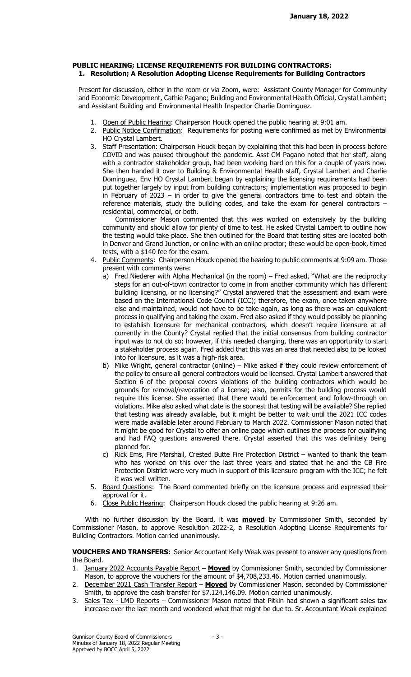## PUBLIC HEARING; LICENSE REQUIREMENTS FOR BUILDING CONTRACTORS: 1. Resolution; A Resolution Adopting License Requirements for Building Contractors

Present for discussion, either in the room or via Zoom, were: Assistant County Manager for Community and Economic Development, Cathie Pagano; Building and Environmental Health Official, Crystal Lambert; and Assistant Building and Environmental Health Inspector Charlie Dominguez.

- 1. Open of Public Hearing: Chairperson Houck opened the public hearing at 9:01 am.
- 2. Public Notice Confirmation: Requirements for posting were confirmed as met by Environmental HO Crystal Lambert.
- 3. Staff Presentation: Chairperson Houck began by explaining that this had been in process before COVID and was paused throughout the pandemic. Asst CM Pagano noted that her staff, along with a contractor stakeholder group, had been working hard on this for a couple of years now. She then handed it over to Building & Environmental Health staff, Crystal Lambert and Charlie Dominguez. Env HO Crystal Lambert began by explaining the licensing requirements had been put together largely by input from building contractors; implementation was proposed to begin in February of 2023 – in order to give the general contractors time to test and obtain the reference materials, study the building codes, and take the exam for general contractors – residential, commercial, or both.

 Commissioner Mason commented that this was worked on extensively by the building community and should allow for plenty of time to test. He asked Crystal Lambert to outline how the testing would take place. She then outlined for the Board that testing sites are located both in Denver and Grand Junction, or online with an online proctor; these would be open-book, timed tests, with a \$140 fee for the exam.

- 4. Public Comments: Chairperson Houck opened the hearing to public comments at 9:09 am. Those present with comments were:
	- a) Fred Niederer with Alpha Mechanical (in the room) Fred asked, "What are the reciprocity steps for an out-of-town contractor to come in from another community which has different building licensing, or no licensing?" Crystal answered that the assessment and exam were based on the International Code Council (ICC); therefore, the exam, once taken anywhere else and maintained, would not have to be take again, as long as there was an equivalent process in qualifying and taking the exam. Fred also asked if they would possibly be planning to establish licensure for mechanical contractors, which doesn't require licensure at all currently in the County? Crystal replied that the initial consensus from building contractor input was to not do so; however, if this needed changing, there was an opportunity to start a stakeholder process again. Fred added that this was an area that needed also to be looked into for licensure, as it was a high-risk area.
	- b) Mike Wright, general contractor (online) Mike asked if they could review enforcement of the policy to ensure all general contractors would be licensed. Crystal Lambert answered that Section 6 of the proposal covers violations of the building contractors which would be grounds for removal/revocation of a license; also, permits for the building process would require this license. She asserted that there would be enforcement and follow-through on violations. Mike also asked what date is the soonest that testing will be available? She replied that testing was already available, but it might be better to wait until the 2021 ICC codes were made available later around February to March 2022. Commissioner Mason noted that it might be good for Crystal to offer an online page which outlines the process for qualifying and had FAQ questions answered there. Crystal asserted that this was definitely being planned for.
	- c) Rick Ems, Fire Marshall, Crested Butte Fire Protection District wanted to thank the team who has worked on this over the last three years and stated that he and the CB Fire Protection District were very much in support of this licensure program with the ICC; he felt it was well written.
- 5. Board Questions: The Board commented briefly on the licensure process and expressed their approval for it.
- 6. Close Public Hearing: Chairperson Houck closed the public hearing at 9:26 am.

With no further discussion by the Board, it was **moved** by Commissioner Smith, seconded by Commissioner Mason, to approve Resolution 2022-2, a Resolution Adopting License Requirements for Building Contractors. Motion carried unanimously.

VOUCHERS AND TRANSFERS: Senior Accountant Kelly Weak was present to answer any questions from the Board.

- 1. January 2022 Accounts Payable Report Moved by Commissioner Smith, seconded by Commissioner Mason, to approve the vouchers for the amount of \$4,708,233.46. Motion carried unanimously.
- 2. December 2021 Cash Transfer Report Moved by Commissioner Mason, seconded by Commissioner Smith, to approve the cash transfer for \$7,124,146.09. Motion carried unanimously.
- 3. Sales Tax LMD Reports Commissioner Mason noted that Pitkin had shown a significant sales tax increase over the last month and wondered what that might be due to. Sr. Accountant Weak explained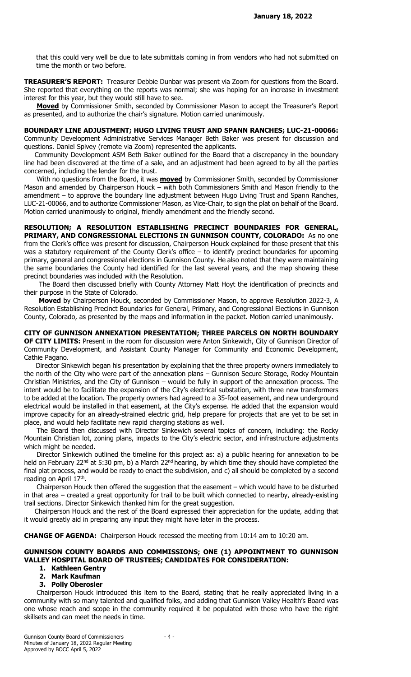that this could very well be due to late submittals coming in from vendors who had not submitted on time the month or two before.

TREASURER'S REPORT: Treasurer Debbie Dunbar was present via Zoom for questions from the Board. She reported that everything on the reports was normal; she was hoping for an increase in investment interest for this year, but they would still have to see.

Moved by Commissioner Smith, seconded by Commissioner Mason to accept the Treasurer's Report as presented, and to authorize the chair's signature. Motion carried unanimously.

BOUNDARY LINE ADJUSTMENT; HUGO LIVING TRUST AND SPANN RANCHES; LUC-21-00066: Community Development Administrative Services Manager Beth Baker was present for discussion and questions. Daniel Spivey (remote via Zoom) represented the applicants.

 Community Development ASM Beth Baker outlined for the Board that a discrepancy in the boundary line had been discovered at the time of a sale, and an adjustment had been agreed to by all the parties concerned, including the lender for the trust.

With no questions from the Board, it was **moved** by Commissioner Smith, seconded by Commissioner Mason and amended by Chairperson Houck – with both Commissioners Smith and Mason friendly to the amendment – to approve the boundary line adjustment between Hugo Living Trust and Spann Ranches, LUC-21-00066, and to authorize Commissioner Mason, as Vice-Chair, to sign the plat on behalf of the Board. Motion carried unanimously to original, friendly amendment and the friendly second.

RESOLUTION; A RESOLUTION ESTABLISHING PRECINCT BOUNDARIES FOR GENERAL, PRIMARY, AND CONGRESSIONAL ELECTIONS IN GUNNISON COUNTY, COLORADO: As no one from the Clerk's office was present for discussion, Chairperson Houck explained for those present that this was a statutory requirement of the County Clerk's office – to identify precinct boundaries for upcoming primary, general and congressional elections in Gunnison County. He also noted that they were maintaining the same boundaries the County had identified for the last several years, and the map showing these precinct boundaries was included with the Resolution.

 The Board then discussed briefly with County Attorney Matt Hoyt the identification of precincts and their purpose in the State of Colorado.

Moved by Chairperson Houck, seconded by Commissioner Mason, to approve Resolution 2022-3, A Resolution Establishing Precinct Boundaries for General, Primary, and Congressional Elections in Gunnison County, Colorado, as presented by the maps and information in the packet. Motion carried unanimously.

CITY OF GUNNISON ANNEXATION PRESENTATION; THREE PARCELS ON NORTH BOUNDARY OF CITY LIMITS: Present in the room for discussion were Anton Sinkewich, City of Gunnison Director of Community Development, and Assistant County Manager for Community and Economic Development, Cathie Pagano.

 Director Sinkewich began his presentation by explaining that the three property owners immediately to the north of the City who were part of the annexation plans – Gunnison Secure Storage, Rocky Mountain Christian Ministries, and the City of Gunnison – would be fully in support of the annexation process. The intent would be to facilitate the expansion of the City's electrical substation, with three new transformers to be added at the location. The property owners had agreed to a 35-foot easement, and new underground electrical would be installed in that easement, at the City's expense. He added that the expansion would improve capacity for an already-strained electric grid, help prepare for projects that are yet to be set in place, and would help facilitate new rapid charging stations as well.

 The Board then discussed with Director Sinkewich several topics of concern, including: the Rocky Mountain Christian lot, zoning plans, impacts to the City's electric sector, and infrastructure adjustments which might be needed.

 Director Sinkewich outlined the timeline for this project as: a) a public hearing for annexation to be held on February 22<sup>nd</sup> at 5:30 pm, b) a March 22<sup>nd</sup> hearing, by which time they should have completed the final plat process, and would be ready to enact the subdivision, and c) all should be completed by a second reading on April 17<sup>th</sup>.

 Chairperson Houck then offered the suggestion that the easement – which would have to be disturbed in that area – created a great opportunity for trail to be built which connected to nearby, already-existing trail sections. Director Sinkewich thanked him for the great suggestion.

 Chairperson Houck and the rest of the Board expressed their appreciation for the update, adding that it would greatly aid in preparing any input they might have later in the process.

CHANGE OF AGENDA: Chairperson Houck recessed the meeting from 10:14 am to 10:20 am.

# GUNNISON COUNTY BOARDS AND COMMISSIONS; ONE (1) APPOINTMENT TO GUNNISON VALLEY HOSPITAL BOARD OF TRUSTEES; CANDIDATES FOR CONSIDERATION:

- 1. Kathleen Gentry
- 2. Mark Kaufman
- 3. Polly Oberosler

 Chairperson Houck introduced this item to the Board, stating that he really appreciated living in a community with so many talented and qualified folks, and adding that Gunnison Valley Health's Board was one whose reach and scope in the community required it be populated with those who have the right skillsets and can meet the needs in time.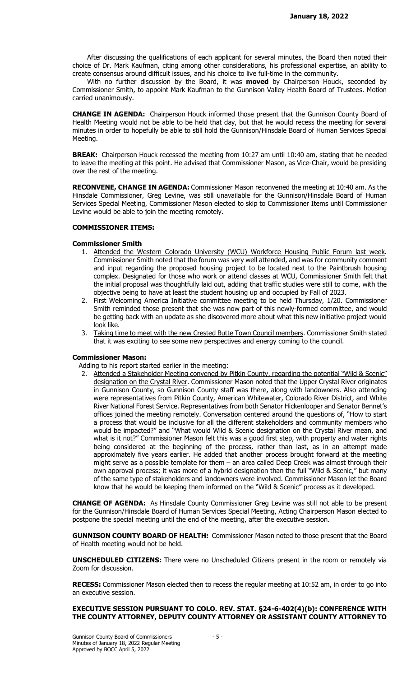After discussing the qualifications of each applicant for several minutes, the Board then noted their choice of Dr. Mark Kaufman, citing among other considerations, his professional expertise, an ability to create consensus around difficult issues, and his choice to live full-time in the community.

With no further discussion by the Board, it was **moved** by Chairperson Houck, seconded by Commissioner Smith, to appoint Mark Kaufman to the Gunnison Valley Health Board of Trustees. Motion carried unanimously.

CHANGE IN AGENDA: Chairperson Houck informed those present that the Gunnison County Board of Health Meeting would not be able to be held that day, but that he would recess the meeting for several minutes in order to hopefully be able to still hold the Gunnison/Hinsdale Board of Human Services Special Meeting.

**BREAK:** Chairperson Houck recessed the meeting from 10:27 am until 10:40 am, stating that he needed to leave the meeting at this point. He advised that Commissioner Mason, as Vice-Chair, would be presiding over the rest of the meeting.

RECONVENE, CHANGE IN AGENDA: Commissioner Mason reconvened the meeting at 10:40 am. As the Hinsdale Commissioner, Greg Levine, was still unavailable for the Gunnison/Hinsdale Board of Human Services Special Meeting, Commissioner Mason elected to skip to Commissioner Items until Commissioner Levine would be able to join the meeting remotely.

## COMMISSIONER ITEMS:

## Commissioner Smith

- 1. Attended the Western Colorado University (WCU) Workforce Housing Public Forum last week. Commissioner Smith noted that the forum was very well attended, and was for community comment and input regarding the proposed housing project to be located next to the Paintbrush housing complex. Designated for those who work or attend classes at WCU, Commissioner Smith felt that the initial proposal was thoughtfully laid out, adding that traffic studies were still to come, with the objective being to have at least the student housing up and occupied by Fall of 2023.
- 2. First Welcoming America Initiative committee meeting to be held Thursday, 1/20. Commissioner Smith reminded those present that she was now part of this newly-formed committee, and would be getting back with an update as she discovered more about what this new initiative project would look like.
- 3. Taking time to meet with the new Crested Butte Town Council members. Commissioner Smith stated that it was exciting to see some new perspectives and energy coming to the council.

#### Commissioner Mason:

Adding to his report started earlier in the meeting:

2. Attended a Stakeholder Meeting convened by Pitkin County, regarding the potential "Wild & Scenic" designation on the Crystal River. Commissioner Mason noted that the Upper Crystal River originates in Gunnison County, so Gunnison County staff was there, along with landowners. Also attending were representatives from Pitkin County, American Whitewater, Colorado River District, and White River National Forest Service. Representatives from both Senator Hickenlooper and Senator Bennet's offices joined the meeting remotely. Conversation centered around the questions of, "How to start a process that would be inclusive for all the different stakeholders and community members who would be impacted?" and "What would Wild & Scenic designation on the Crystal River mean, and what is it not?" Commissioner Mason felt this was a good first step, with property and water rights being considered at the beginning of the process, rather than last, as in an attempt made approximately five years earlier. He added that another process brought forward at the meeting might serve as a possible template for them – an area called Deep Creek was almost through their own approval process; it was more of a hybrid designation than the full "Wild & Scenic," but many of the same type of stakeholders and landowners were involved. Commissioner Mason let the Board know that he would be keeping them informed on the "Wild & Scenic" process as it developed.

**CHANGE OF AGENDA:** As Hinsdale County Commissioner Greg Levine was still not able to be present for the Gunnison/Hinsdale Board of Human Services Special Meeting, Acting Chairperson Mason elected to postpone the special meeting until the end of the meeting, after the executive session.

GUNNISON COUNTY BOARD OF HEALTH: Commissioner Mason noted to those present that the Board of Health meeting would not be held.

**UNSCHEDULED CITIZENS:** There were no Unscheduled Citizens present in the room or remotely via Zoom for discussion.

RECESS: Commissioner Mason elected then to recess the regular meeting at 10:52 am, in order to go into an executive session.

## EXECUTIVE SESSION PURSUANT TO COLO. REV. STAT. §24-6-402(4)(b): CONFERENCE WITH THE COUNTY ATTORNEY, DEPUTY COUNTY ATTORNEY OR ASSISTANT COUNTY ATTORNEY TO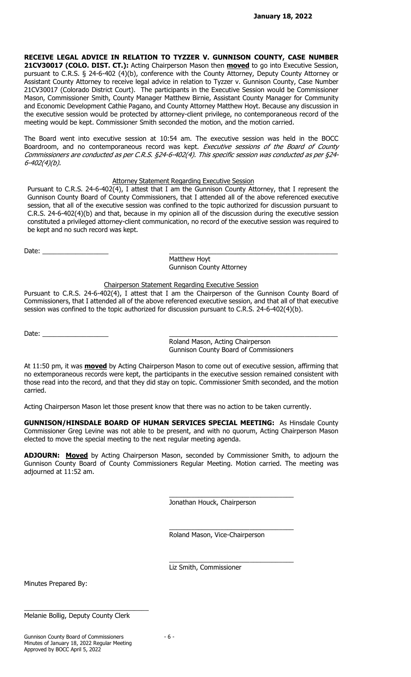RECEIVE LEGAL ADVICE IN RELATION TO TYZZER V. GUNNISON COUNTY, CASE NUMBER 21CV30017 (COLO. DIST. CT.): Acting Chairperson Mason then moved to go into Executive Session, pursuant to C.R.S. § 24-6-402 (4)(b), conference with the County Attorney, Deputy County Attorney or Assistant County Attorney to receive legal advice in relation to Tyzzer v. Gunnison County, Case Number 21CV30017 (Colorado District Court). The participants in the Executive Session would be Commissioner Mason, Commissioner Smith, County Manager Matthew Birnie, Assistant County Manager for Community and Economic Development Cathie Pagano, and County Attorney Matthew Hoyt. Because any discussion in the executive session would be protected by attorney-client privilege, no contemporaneous record of the meeting would be kept. Commissioner Smith seconded the motion, and the motion carried.

The Board went into executive session at 10:54 am. The executive session was held in the BOCC Boardroom, and no contemporaneous record was kept. Executive sessions of the Board of County Commissioners are conducted as per C.R.S. §24-6-402(4). This specific session was conducted as per §24- 6-402(4)(b).

# Attorney Statement Regarding Executive Session

Pursuant to C.R.S. 24-6-402(4), I attest that I am the Gunnison County Attorney, that I represent the Gunnison County Board of County Commissioners, that I attended all of the above referenced executive session, that all of the executive session was confined to the topic authorized for discussion pursuant to C.R.S. 24-6-402(4)(b) and that, because in my opinion all of the discussion during the executive session constituted a privileged attorney-client communication, no record of the executive session was required to be kept and no such record was kept.

Date: \_\_\_\_\_\_\_\_\_\_\_\_\_\_\_\_\_\_ \_\_\_\_\_\_\_\_\_\_\_\_\_\_\_\_\_\_\_\_\_\_\_\_\_\_\_\_\_\_\_\_\_\_\_\_\_\_\_\_\_\_\_\_\_\_

 Matthew Hoyt Gunnison County Attorney

# Chairperson Statement Regarding Executive Session

Pursuant to C.R.S. 24-6-402(4), I attest that I am the Chairperson of the Gunnison County Board of Commissioners, that I attended all of the above referenced executive session, and that all of that executive session was confined to the topic authorized for discussion pursuant to C.R.S. 24-6-402(4)(b).

Date:  $\frac{1}{\sqrt{1-\frac{1}{2}}}\cdot\frac{1}{\sqrt{1-\frac{1}{2}}}\cdot\frac{1}{\sqrt{1-\frac{1}{2}}}\cdot\frac{1}{\sqrt{1-\frac{1}{2}}}\cdot\frac{1}{\sqrt{1-\frac{1}{2}}}\cdot\frac{1}{\sqrt{1-\frac{1}{2}}}\cdot\frac{1}{\sqrt{1-\frac{1}{2}}}\cdot\frac{1}{\sqrt{1-\frac{1}{2}}}\cdot\frac{1}{\sqrt{1-\frac{1}{2}}}\cdot\frac{1}{\sqrt{1-\frac{1}{2}}}\cdot\frac{1}{\sqrt{1-\frac{1}{2}}}\cdot\frac{1}{\sqrt{1-\frac{1}{2}}$ 

 Roland Mason, Acting Chairperson Gunnison County Board of Commissioners

At 11:50 pm, it was **moved** by Acting Chairperson Mason to come out of executive session, affirming that no extemporaneous records were kept, the participants in the executive session remained consistent with those read into the record, and that they did stay on topic. Commissioner Smith seconded, and the motion carried.

Acting Chairperson Mason let those present know that there was no action to be taken currently.

GUNNISON/HINSDALE BOARD OF HUMAN SERVICES SPECIAL MEETING: As Hinsdale County Commissioner Greg Levine was not able to be present, and with no quorum, Acting Chairperson Mason elected to move the special meeting to the next regular meeting agenda.

ADJOURN: Moved by Acting Chairperson Mason, seconded by Commissioner Smith, to adjourn the Gunnison County Board of County Commissioners Regular Meeting. Motion carried. The meeting was adjourned at 11:52 am.

Jonathan Houck, Chairperson

 $\overline{\phantom{a}}$  , and the set of the set of the set of the set of the set of the set of the set of the set of the set of the set of the set of the set of the set of the set of the set of the set of the set of the set of the s

 $\overline{\phantom{a}}$  , and the set of the set of the set of the set of the set of the set of the set of the set of the set of the set of the set of the set of the set of the set of the set of the set of the set of the set of the s Roland Mason, Vice-Chairperson

\_\_\_\_\_\_\_\_\_\_\_\_\_\_\_\_\_\_\_\_\_\_\_\_\_\_\_\_\_\_\_\_\_\_ Liz Smith, Commissioner

Minutes Prepared By:

Melanie Bollig, Deputy County Clerk

 $\overline{\phantom{a}}$  , and the set of the set of the set of the set of the set of the set of the set of the set of the set of the set of the set of the set of the set of the set of the set of the set of the set of the set of the s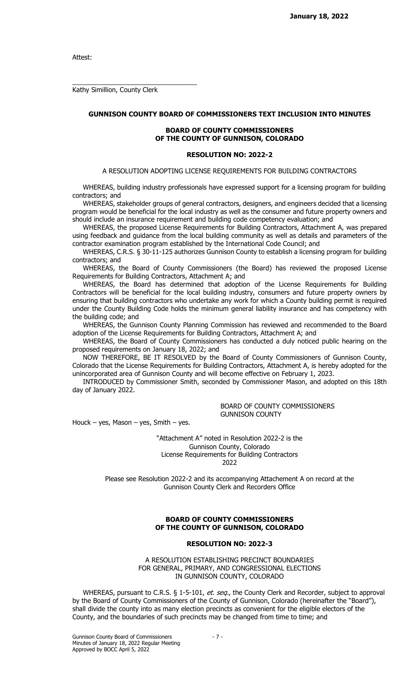Attest:

Kathy Simillion, County Clerk

\_\_\_\_\_\_\_\_\_\_\_\_\_\_\_\_\_\_\_\_\_\_\_\_\_\_\_\_\_\_\_\_\_\_

#### GUNNISON COUNTY BOARD OF COMMISSIONERS TEXT INCLUSION INTO MINUTES

#### BOARD OF COUNTY COMMISSIONERS OF THE COUNTY OF GUNNISON, COLORADO

## RESOLUTION NO: 2022-2

A RESOLUTION ADOPTING LICENSE REQUIREMENTS FOR BUILDING CONTRACTORS

 WHEREAS, building industry professionals have expressed support for a licensing program for building contractors; and

 WHEREAS, stakeholder groups of general contractors, designers, and engineers decided that a licensing program would be beneficial for the local industry as well as the consumer and future property owners and should include an insurance requirement and building code competency evaluation; and

 WHEREAS, the proposed License Requirements for Building Contractors, Attachment A, was prepared using feedback and guidance from the local building community as well as details and parameters of the contractor examination program established by the International Code Council; and

 WHEREAS, C.R.S. § 30-11-125 authorizes Gunnison County to establish a licensing program for building contractors; and

 WHEREAS, the Board of County Commissioners (the Board) has reviewed the proposed License Requirements for Building Contractors, Attachment A; and

 WHEREAS, the Board has determined that adoption of the License Requirements for Building Contractors will be beneficial for the local building industry, consumers and future property owners by ensuring that building contractors who undertake any work for which a County building permit is required under the County Building Code holds the minimum general liability insurance and has competency with the building code; and

 WHEREAS, the Gunnison County Planning Commission has reviewed and recommended to the Board adoption of the License Requirements for Building Contractors, Attachment A; and

 WHEREAS, the Board of County Commissioners has conducted a duly noticed public hearing on the proposed requirements on January 18, 2022; and

 NOW THEREFORE, BE IT RESOLVED by the Board of County Commissioners of Gunnison County, Colorado that the License Requirements for Building Contractors, Attachment A, is hereby adopted for the unincorporated area of Gunnison County and will become effective on February 1, 2023.

 INTRODUCED by Commissioner Smith, seconded by Commissioner Mason, and adopted on this 18th day of January 2022.

> BOARD OF COUNTY COMMISSIONERS GUNNISON COUNTY

Houck – yes, Mason – yes, Smith – yes.

"Attachment A" noted in Resolution 2022-2 is the Gunnison County, Colorado License Requirements for Building Contractors 2022

Please see Resolution 2022-2 and its accompanying Attachement A on record at the Gunnison County Clerk and Recorders Office

## BOARD OF COUNTY COMMISSIONERS OF THE COUNTY OF GUNNISON, COLORADO

## RESOLUTION NO: 2022-3

A RESOLUTION ESTABLISHING PRECINCT BOUNDARIES FOR GENERAL, PRIMARY, AND CONGRESSIONAL ELECTIONS IN GUNNISON COUNTY, COLORADO

WHEREAS, pursuant to C.R.S. § 1-5-101, et. seq., the County Clerk and Recorder, subject to approval by the Board of County Commissioners of the County of Gunnison, Colorado (hereinafter the "Board"), shall divide the county into as many election precincts as convenient for the eligible electors of the County, and the boundaries of such precincts may be changed from time to time; and